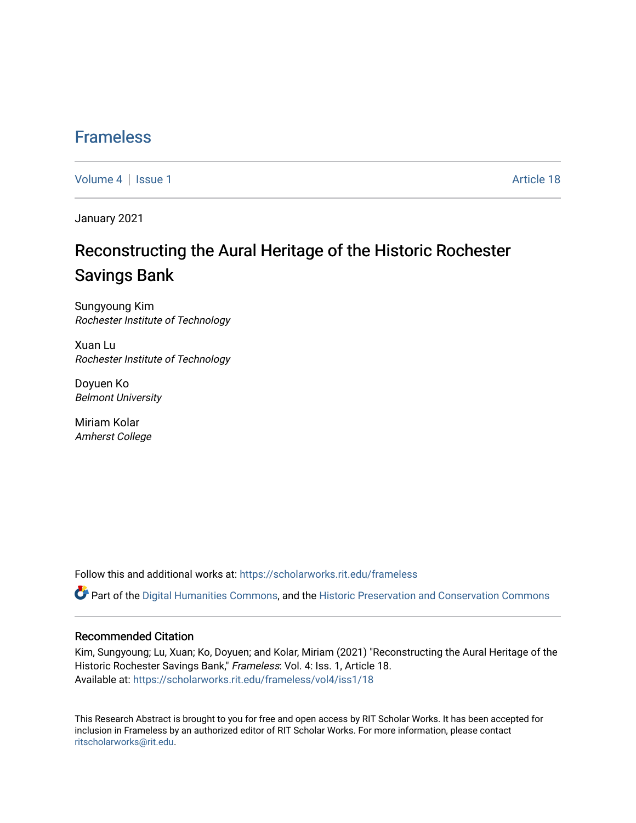### [Frameless](https://scholarworks.rit.edu/frameless)

[Volume 4](https://scholarworks.rit.edu/frameless/vol4) | [Issue 1](https://scholarworks.rit.edu/frameless/vol4/iss1) Article 18

January 2021

## Reconstructing the Aural Heritage of the Historic Rochester Savings Bank

Sungyoung Kim Rochester Institute of Technology

Xuan Lu Rochester Institute of Technology

Doyuen Ko Belmont University

Miriam Kolar Amherst College

Follow this and additional works at: [https://scholarworks.rit.edu/frameless](https://scholarworks.rit.edu/frameless?utm_source=scholarworks.rit.edu%2Fframeless%2Fvol4%2Fiss1%2F18&utm_medium=PDF&utm_campaign=PDFCoverPages)

Part of the [Digital Humanities Commons](https://network.bepress.com/hgg/discipline/1286?utm_source=scholarworks.rit.edu%2Fframeless%2Fvol4%2Fiss1%2F18&utm_medium=PDF&utm_campaign=PDFCoverPages), and the [Historic Preservation and Conservation Commons](https://network.bepress.com/hgg/discipline/781?utm_source=scholarworks.rit.edu%2Fframeless%2Fvol4%2Fiss1%2F18&utm_medium=PDF&utm_campaign=PDFCoverPages)

#### Recommended Citation

Kim, Sungyoung; Lu, Xuan; Ko, Doyuen; and Kolar, Miriam (2021) "Reconstructing the Aural Heritage of the Historic Rochester Savings Bank," Frameless: Vol. 4: Iss. 1, Article 18. Available at: [https://scholarworks.rit.edu/frameless/vol4/iss1/18](https://scholarworks.rit.edu/frameless/vol4/iss1/18?utm_source=scholarworks.rit.edu%2Fframeless%2Fvol4%2Fiss1%2F18&utm_medium=PDF&utm_campaign=PDFCoverPages) 

This Research Abstract is brought to you for free and open access by RIT Scholar Works. It has been accepted for inclusion in Frameless by an authorized editor of RIT Scholar Works. For more information, please contact [ritscholarworks@rit.edu](mailto:ritscholarworks@rit.edu).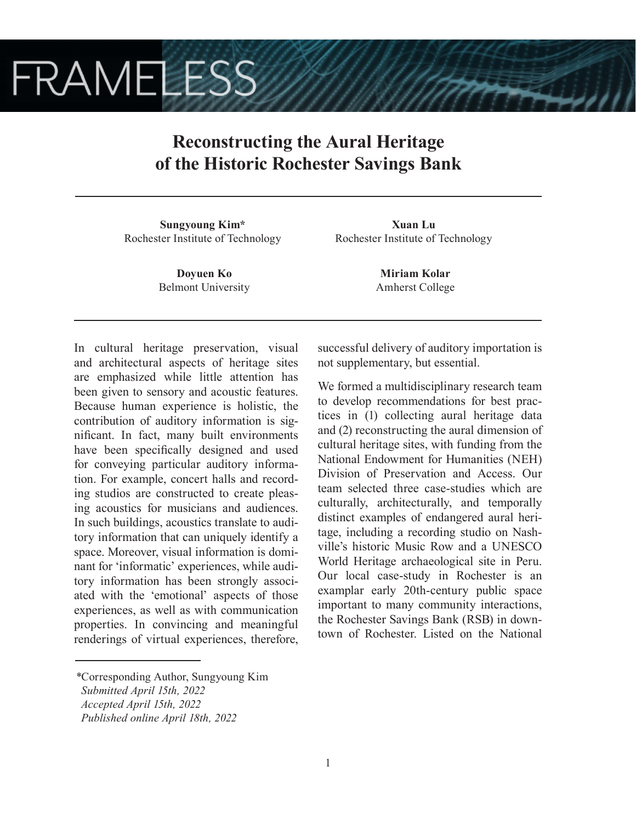# **FRAMELESS**

## **Reconstructing the Aural Heritage of the Historic Rochester Savings Bank**

**Sungyoung Kim\*** Rochester Institute of Technology

> **Doyuen Ko** Belmont University

**Xuan Lu** Rochester Institute of Technology

> **Miriam Kolar** Amherst College

In cultural heritage preservation, visual and architectural aspects of heritage sites are emphasized while little attention has been given to sensory and acoustic features. Because human experience is holistic, the contribution of auditory information is significant. In fact, many built environments have been specifically designed and used for conveying particular auditory information. For example, concert halls and recording studios are constructed to create pleasing acoustics for musicians and audiences. In such buildings, acoustics translate to auditory information that can uniquely identify a space. Moreover, visual information is dominant for 'informatic' experiences, while auditory information has been strongly associated with the 'emotional' aspects of those experiences, as well as with communication properties. In convincing and meaningful renderings of virtual experiences, therefore, successful delivery of auditory importation is not supplementary, but essential.

We formed a multidisciplinary research team to develop recommendations for best practices in (1) collecting aural heritage data and (2) reconstructing the aural dimension of cultural heritage sites, with funding from the National Endowment for Humanities (NEH) Division of Preservation and Access. Our team selected three case-studies which are culturally, architecturally, and temporally distinct examples of endangered aural heritage, including a recording studio on Nashville's historic Music Row and a UNESCO World Heritage archaeological site in Peru. Our local case-study in Rochester is an examplar early 20th-century public space important to many community interactions, the Rochester Savings Bank (RSB) in downtown of Rochester. Listed on the National

*<sup>\*</sup>*Corresponding Author, Sungyoung Kim

*Submitted April 15th, 2022*

*Accepted April 15th, 2022*

*Published online April 18th, 2022*